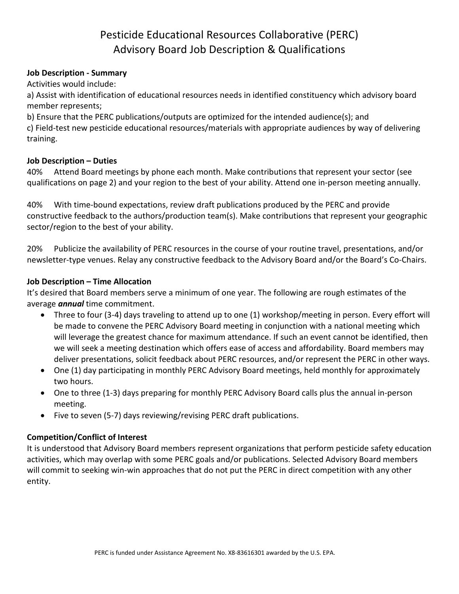## Pesticide Educational Resources Collaborative (PERC) Advisory Board Job Description & Qualifications

#### **Job Description - Summary**

Activities would include:

a) Assist with identification of educational resources needs in identified constituency which advisory board member represents;

b) Ensure that the PERC publications/outputs are optimized for the intended audience(s); and c) Field-test new pesticide educational resources/materials with appropriate audiences by way of delivering training.

#### **Job Description – Duties**

40% Attend Board meetings by phone each month. Make contributions that represent your sector (see qualifications on page 2) and your region to the best of your ability. Attend one in-person meeting annually.

40% With time-bound expectations, review draft publications produced by the PERC and provide constructive feedback to the authors/production team(s). Make contributions that represent your geographic sector/region to the best of your ability.

20% Publicize the availability of PERC resources in the course of your routine travel, presentations, and/or newsletter-type venues. Relay any constructive feedback to the Advisory Board and/or the Board's Co-Chairs.

#### **Job Description – Time Allocation**

It's desired that Board members serve a minimum of one year. The following are rough estimates of the average *annual* time commitment.

- Three to four (3-4) days traveling to attend up to one (1) workshop/meeting in person. Every effort will be made to convene the PERC Advisory Board meeting in conjunction with a national meeting which will leverage the greatest chance for maximum attendance. If such an event cannot be identified, then we will seek a meeting destination which offers ease of access and affordability. Board members may deliver presentations, solicit feedback about PERC resources, and/or represent the PERC in other ways.
- One (1) day participating in monthly PERC Advisory Board meetings, held monthly for approximately two hours.
- One to three (1-3) days preparing for monthly PERC Advisory Board calls plus the annual in-person meeting.
- Five to seven (5-7) days reviewing/revising PERC draft publications.

#### **Competition/Conflict of Interest**

It is understood that Advisory Board members represent organizations that perform pesticide safety education activities, which may overlap with some PERC goals and/or publications. Selected Advisory Board members will commit to seeking win-win approaches that do not put the PERC in direct competition with any other entity.